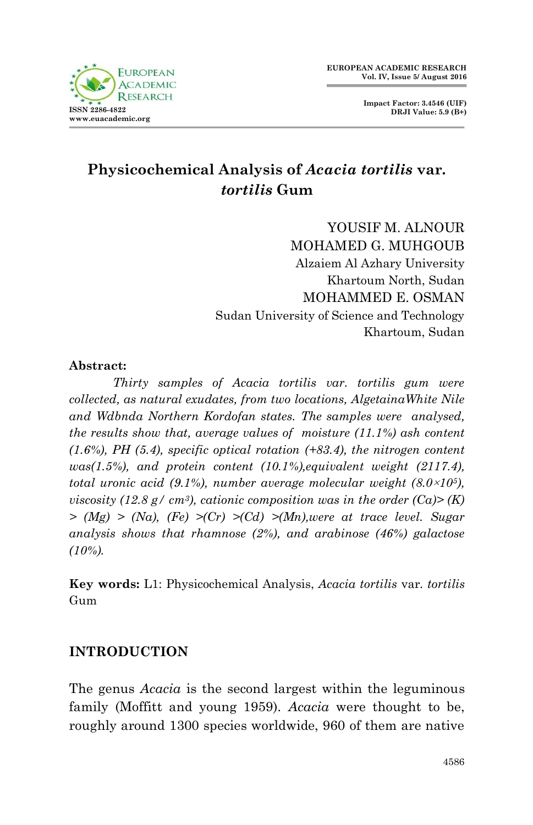

**Impact Factor: 3.4546 (UIF) DRJI Value: 5.9 (B+)**

# **Physicochemical Analysis of** *Acacia tortilis* **var***. tortilis* **Gum**

YOUSIF M ALNOUR. MOHAMED G. MUHGOUB Alzaiem Al Azhary University Khartoum North, Sudan MOHAMMED E. OSMAN Sudan University of Science and Technology Khartoum, Sudan

#### **Abstract:**

*Thirty samples of Acacia tortilis var. tortilis gum were collected, as natural exudates, from two locations, AlgetainaWhite Nile and Wdbnda Northern Kordofan states. The samples were analysed, the results show that, average values of moisture (11.1%) ash content (1.6%), PH (5.4), specific optical rotation (+83.4), the nitrogen content was(1.5%), and protein content (10.1%),equivalent weight (2117.4), total uronic acid (9.1%), number average molecular weight (8.0*×*105), viscosity* (12.8 g/ cm<sup>3</sup>), cationic composition was in the order (Ca)> (K) *> (Mg) > (Na), (Fe) >(Cr) >(Cd) >(Mn),were at trace level. Sugar analysis shows that rhamnose (2%), and arabinose (46%) galactose (10%).*

**Key words:** L1: Physicochemical Analysis, *Acacia tortilis* var*. tortilis*  Gum

## **INTRODUCTION**

The genus *Acacia* is the second largest within the leguminous family (Moffitt and young 1959). *Acacia* were thought to be, roughly around 1300 species worldwide, 960 of them are native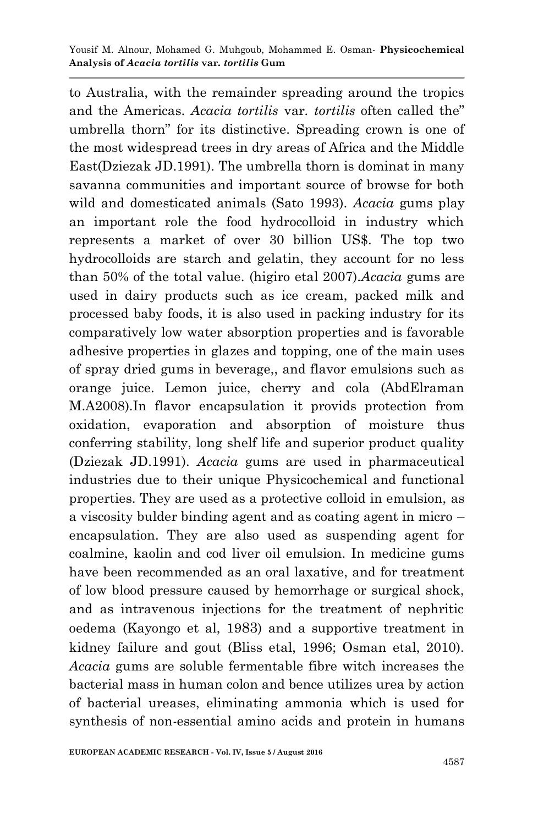to Australia, with the remainder spreading around the tropics and the Americas. *Acacia tortilis* var*. tortilis* often called the" umbrella thorn" for its distinctive. Spreading crown is one of the most widespread trees in dry areas of Africa and the Middle East(Dziezak JD.1991). The umbrella thorn is dominat in many savanna communities and important source of browse for both wild and domesticated animals (Sato 1993). *Acacia* gums play an important role the food hydrocolloid in industry which represents a market of over 30 billion US\$. The top two hydrocolloids are starch and gelatin, they account for no less than 50% of the total value. (higiro etal 2007).*Acacia* gums are used in dairy products such as ice cream, packed milk and processed baby foods, it is also used in packing industry for its comparatively low water absorption properties and is favorable adhesive properties in glazes and topping, one of the main uses of spray dried gums in beverage,, and flavor emulsions such as orange juice. Lemon juice, cherry and cola (AbdElraman M.A2008).In flavor encapsulation it provids protection from oxidation, evaporation and absorption of moisture thus conferring stability, long shelf life and superior product quality (Dziezak JD.1991). *Acacia* gums are used in pharmaceutical industries due to their unique Physicochemical and functional properties. They are used as a protective colloid in emulsion, as a viscosity bulder binding agent and as coating agent in micro – encapsulation. They are also used as suspending agent for coalmine, kaolin and cod liver oil emulsion. In medicine gums have been recommended as an oral laxative, and for treatment of low blood pressure caused by hemorrhage or surgical shock, and as intravenous injections for the treatment of nephritic oedema (Kayongo et al, 1983) and a supportive treatment in kidney failure and gout (Bliss etal, 1996; Osman etal, 2010). *Acacia* gums are soluble fermentable fibre witch increases the bacterial mass in human colon and bence utilizes urea by action of bacterial ureases, eliminating ammonia which is used for synthesis of non-essential amino acids and protein in humans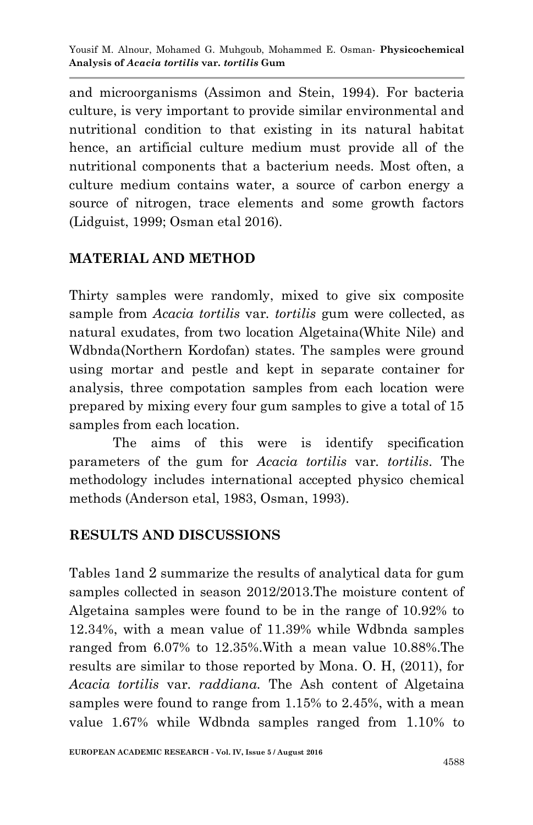and microorganisms (Assimon and Stein, 1994). For bacteria culture, is very important to provide similar environmental and nutritional condition to that existing in its natural habitat hence, an artificial culture medium must provide all of the nutritional components that a bacterium needs. Most often, a culture medium contains water, a source of carbon energy a source of nitrogen, trace elements and some growth factors (Lidguist, 1999; Osman etal 2016).

# **MATERIAL AND METHOD**

Thirty samples were randomly, mixed to give six composite sample from *Acacia tortilis* var*. tortilis* gum were collected, as natural exudates, from two location Algetaina(White Nile) and Wdbnda(Northern Kordofan) states. The samples were ground using mortar and pestle and kept in separate container for analysis, three compotation samples from each location were prepared by mixing every four gum samples to give a total of 15 samples from each location.

The aims of this were is identify specification parameters of the gum for *Acacia tortilis* var*. tortilis*. The methodology includes international accepted physico chemical methods (Anderson etal, 1983, Osman, 1993).

## **RESULTS AND DISCUSSIONS**

Tables 1and 2 summarize the results of analytical data for gum samples collected in season 2012/2013.The moisture content of Algetaina samples were found to be in the range of 10.92% to 12.34%, with a mean value of 11.39% while Wdbnda samples ranged from 6.07% to 12.35%.With a mean value 10.88%.The results are similar to those reported by Mona. O. H, (2011), for *Acacia tortilis* var*. raddiana.* The Ash content of Algetaina samples were found to range from 1.15% to 2.45%, with a mean value 1.67% while Wdbnda samples ranged from 1.10% to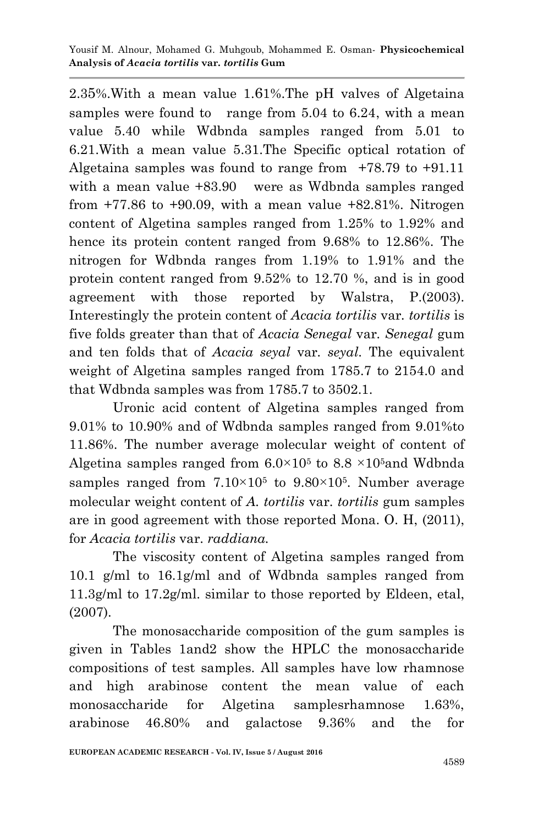2.35%.With a mean value 1.61%.The pH valves of Algetaina samples were found to range from 5.04 to 6.24, with a mean value 5.40 while Wdbnda samples ranged from 5.01 to 6.21.With a mean value 5.31.The Specific optical rotation of Algetaina samples was found to range from  $+78.79$  to  $+91.11$ with a mean value  $+83.90$  were as Wdbnda samples ranged from  $+77.86$  to  $+90.09$ , with a mean value  $+82.81\%$ . Nitrogen content of Algetina samples ranged from 1.25% to 1.92% and hence its protein content ranged from 9.68% to 12.86%. The nitrogen for Wdbnda ranges from 1.19% to 1.91% and the protein content ranged from 9.52% to 12.70 %, and is in good agreement with those reported by Walstra, P.(2003). Interestingly the protein content of *Acacia tortilis* var*. tortilis* is five folds greater than that of *Acacia Senegal* var*. Senegal* gum and ten folds that of *Acacia seyal* var*. seyal*. The equivalent weight of Algetina samples ranged from 1785.7 to 2154.0 and that Wdbnda samples was from 1785.7 to 3502.1.

Uronic acid content of Algetina samples ranged from 9.01% to 10.90% and of Wdbnda samples ranged from 9.01%to 11.86%. The number average molecular weight of content of Algetina samples ranged from  $6.0 \times 10^5$  to  $8.8 \times 10^5$  and Wdbnda samples ranged from  $7.10 \times 10^5$  to  $9.80 \times 10^5$ . Number average molecular weight content of *A. tortilis* var. *tortilis* gum samples are in good agreement with those reported Mona. O. H, (2011), for *Acacia tortilis* var. *raddiana.*

The viscosity content of Algetina samples ranged from 10.1 g/ml to 16.1g/ml and of Wdbnda samples ranged from 11.3g/ml to 17.2g/ml. similar to those reported by Eldeen, etal, (2007).

The monosaccharide composition of the gum samples is given in Tables 1and2 show the HPLC the monosaccharide compositions of test samples. All samples have low rhamnose and high arabinose content the mean value of each monosaccharide for Algetina samplesrhamnose 1.63%, arabinose 46.80% and galactose 9.36% and the for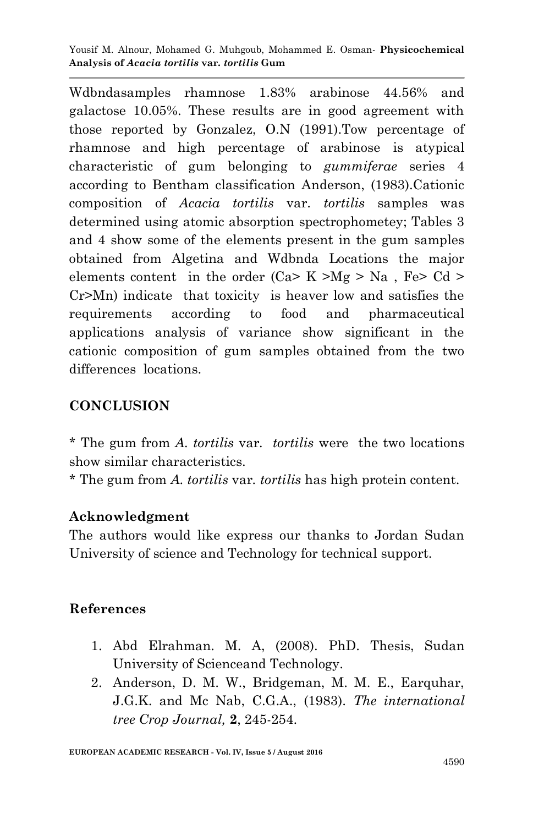Yousif M. Alnour, Mohamed G. Muhgoub, Mohammed E. Osman*-* **Physicochemical Analysis of** *Acacia tortilis* **var***. tortilis* **Gum**

Wdbndasamples rhamnose 1.83% arabinose 44.56% and galactose 10.05%. These results are in good agreement with those reported by Gonzalez, O.N (1991).Tow percentage of rhamnose and high percentage of arabinose is atypical characteristic of gum belonging to *gummiferae* series 4 according to Bentham classification Anderson, (1983).Cationic composition of *Acacia tortilis* var. *tortilis* samples was determined using atomic absorption spectrophometey; Tables 3 and 4 show some of the elements present in the gum samples obtained from Algetina and Wdbnda Locations the major elements content in the order  $(Ca > K > Mg > Na$ , Fe $> Cd >$ Cr>Mn) indicate that toxicity is heaver low and satisfies the requirements according to food and pharmaceutical applications analysis of variance show significant in the cationic composition of gum samples obtained from the two differences locations.

## **CONCLUSION**

\* The gum from *A. tortilis* var*. tortilis* were the two locations show similar characteristics.

\* The gum from *A. tortilis* var*. tortilis* has high protein content.

#### **Acknowledgment**

The authors would like express our thanks to Jordan Sudan University of science and Technology for technical support.

#### **References**

- 1. Abd Elrahman. M. A, (2008). PhD. Thesis, Sudan University of Scienceand Technology.
- 2. Anderson, D. M. W., Bridgeman, M. M. E., Earquhar, J.G.K. and Mc Nab, C.G.A., (1983). *The international tree Crop Journal,* **2**, 245-254.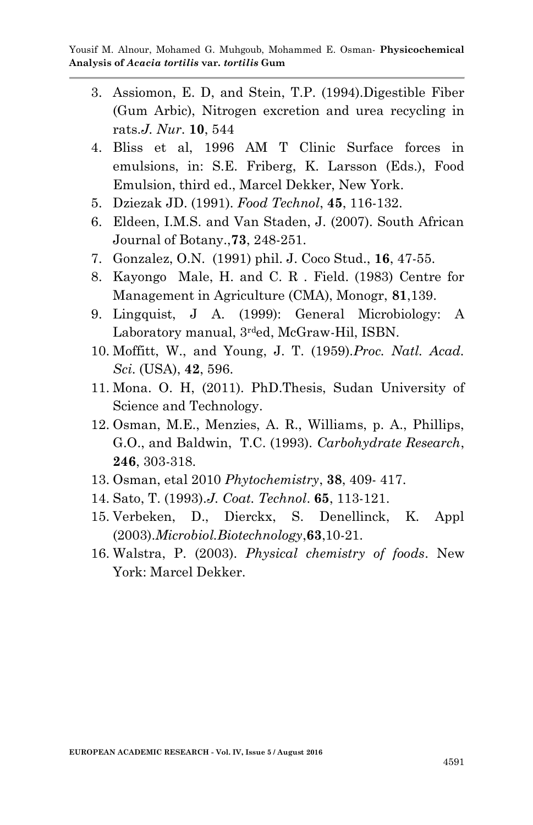- 3. Assiomon, E. D, and Stein, T.P. (1994).Digestible Fiber (Gum Arbic), Nitrogen excretion and urea recycling in rats.*J. Nur*. **10**, 544
- 4. Bliss et al, 1996 AM T Clinic Surface forces in emulsions, in: S.E. Friberg, K. Larsson (Eds.), Food Emulsion, third ed., Marcel Dekker, New York.
- 5. Dziezak JD. (1991). *Food Technol*, **45**, 116-132.
- 6. Eldeen, I.M.S. and Van Staden, J. (2007). South African Journal of Botany.,**73**, 248-251.
- 7. Gonzalez, O.N. (1991) phil. J. Coco Stud., **16**, 47-55.
- 8. Kayongo Male, H. and C. R . Field. (1983) Centre for Management in Agriculture (CMA), Monogr, **81**,139.
- 9. Lingquist, J A. (1999): General Microbiology: A Laboratory manual, 3<sup>rd</sup>ed, McGraw-Hil, ISBN.
- 10. Moffitt, W., and Young, J. T. (1959).*Proc. Natl. Acad. Sci*. (USA), **42**, 596.
- 11. Mona. O. H, (2011). PhD.Thesis, Sudan University of Science and Technology.
- 12. Osman, M.E., Menzies, A. R., Williams, p. A., Phillips, G.O., and Baldwin, T.C. (1993). *Carbohydrate Research*, **246**, 303-318.
- 13. Osman, etal 2010 *Phytochemistry*, **38**, 409- 417.
- 14. Sato, T. (1993).*J. Coat. Technol*. **65**, 113-121.
- 15. Verbeken, D., Dierckx, S. Denellinck, K. Appl (2003).*Microbiol.Biotechnology*,**63**,10-21.
- 16. Walstra, P. (2003). *Physical chemistry of foods*. New York: Marcel Dekker.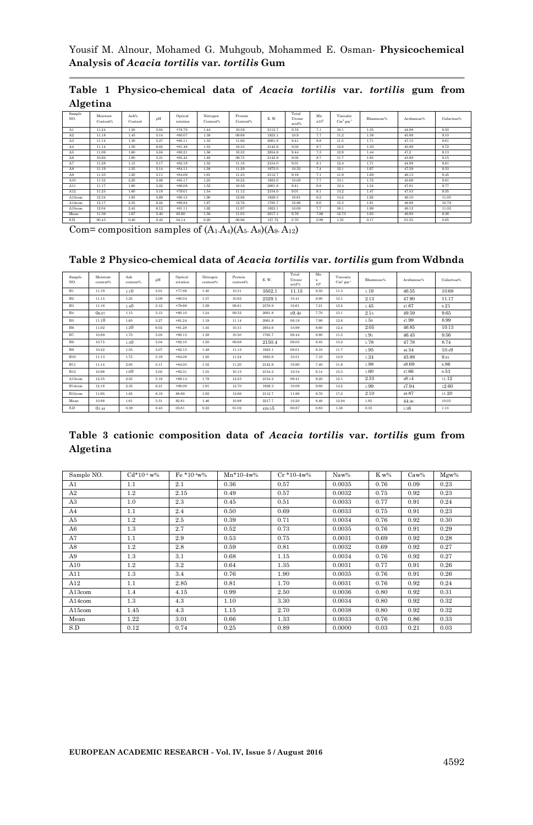Yousif M. Alnour, Mohamed G. Muhgoub, Mohammed E. Osman*-* **Physicochemical Analysis of** *Acacia tortilis* **var***. tortilis* **Gum**

|          | Table 1 Physico-chemical data of Acacia tortilis var. tortilis gum from |  |  |  |  |
|----------|-------------------------------------------------------------------------|--|--|--|--|
| Algetina |                                                                         |  |  |  |  |

| Sample<br>NO. | Moisture<br>Content% | Ash%<br>Content | pH   | Optical<br>rotation | Nitrogen<br>Content% | Protein<br>Content% | E.W.   | Total<br>Uronic<br>acid% | Mn<br>$x10^5$ | Viscosity<br>$\mathrm{Cm}^3$ am <sup>-1</sup> | Rhamnose% | Arabanoso% | Galactose% |
|---------------|----------------------|-----------------|------|---------------------|----------------------|---------------------|--------|--------------------------|---------------|-----------------------------------------------|-----------|------------|------------|
| A1            | 11.24                | 1.50            | 5.04 | $+78.79$            | 1.44                 | 10.59               | 2112.7 | 9.18                     | 7.1           | 10.1                                          | 1.35      | 44.88      | 8.50       |
| A2            | 11.18                | 1.45            | 5.14 | $+80.07$            | 1.38                 | 09.68               | 1923.1 | 10.9                     | 7.7           | 11.2                                          | 1.38      | 45.88      | 9.10       |
| A3            | 11.14                | 1.30            | 5.27 | $+80.11$            | 1.33                 | 11.66               | 2061.8 | 9.41                     | 8.8           | 11.5                                          | 1.71      | 47.15      | 8.61       |
| A4            | 11.14                | 1.30            | 6.02 | $+81.48$            | 1.53                 | 10.33               | 2142.9 | 9.05                     | 8.7           | 12.8                                          | 1.50      | 45.99      | 8.72       |
| A5            | 11.09                | 1.60            | 5.04 | $+80.21$            | 1.56                 | 10.52               | 2054.8 | 9.44                     | 7.3           | 12.9                                          | 1.44      | 47.2       | 9.13       |
| A6            | 10.92                | 1.80            | 5.31 | $+85.45$            | 1.48                 | 09.75               | 2142.9 | 9.05                     | 87            | 11.7                                          | 1.65      | 43.99      | 9.15       |
| A7            | 11.28                | 1.15            | 5.17 | $+82.18$            | 1.52                 | 11.16               | 2154.0 | 9.01                     | 8.1           | 12.4                                          | 1.71      | 44.98      | 8.61       |
| AS            | 11.19                | 1.55            | 5.14 | $+84.11$            | 1.58                 | 11.29               | 1875.0 | 10.35                    | 7.4           | 12.1                                          | 1.67      | 47.59      | 9.33       |
| A9            | 11.35                | 1.20            | 5.11 | $+84.09$            | 1.61                 | 11.23               | 2112.7 | 9.18                     | 7.1           | 11.9                                          | 1.69      | 46.13      | 9.45       |
| A10           | 11.32                | 2.20            | 5.06 | $+85.17$            | 1.25                 | 10.22               | 1923.0 | 10.09                    | 7.7           | 13.1                                          | 1.72      | 45.69      | 8.81       |
| A11           | 11.17                | 1.80            | 5.22 | $+86.08$            | 1.52                 | 10.59               | 2061.8 | 9.41                     | 8.8           | 12.4                                          | 1.54      | 47.81      | 8.77       |
| A12           | 11.25                | 1.60            | 5.18 | $+79.01$            | 1.54                 | 11.12               | 2154.0 | 9.01                     | 8.1           | 13.2                                          | 1.47      | 47.53      | 9.35       |
| A13com        | 12.34                | 1.85            | 5.89 | $+90.13$            | 1.90                 | 12.86               | 1829.3 | 10.61                    | 62            | 14.2                                          | 1.92      | 49.10      | 11.05      |
| A14com        | 12.17                | 2.35            | 6.24 | $+89.84$            | 1.87                 | 12.76               | 1785.7 | 10.86                    | 60            | 15.3                                          | 1.81      | 48.98      | 10.79      |
| A15com        | 12.04                | 2.45            | 6.12 | $+91.11$            | 1.92                 | 11.97               | 1923.1 | 10.09                    | 7.7           | 16.1                                          | 1.89      | 49.12      | 11.02      |
| Mean          | 11.39                | 1.67            | 5.40 | 83.90               | 1.56                 | 11.05               | 2017.1 | 9.76                     | 7.69          | 12.73                                         | 1.63      | 46.80      | 9.36       |
| S.D           | 00.43                | 0.40            | 0.43 | 04.14               | 0.20                 | 00.96               | 127.72 | 0.70                     | 0.88          | 1.55                                          | 0.17      | 01.55      | 0.85       |

Com= composition samples of  $(A_1.A_4)(A_5.A_8)(A_9.A_{12})$ 

#### **Table 2 Physico-chemical data of** *Acacia tortilis* **var.** *tortilis* **gum from Wdbnda**

| Sample<br>NO.  | Moisture<br>content% | Ash<br>content% | pH   | Optical<br>rotation | Nitrogen<br>content% | Protein<br>content% | E.W.   | Total<br>Uronic<br>acid% | Mn<br>$\mathbf{x}$<br>105 | Viscosity<br>$\mathrm{Cm}^3$ am <sup>-1</sup> | Rhamnose% | Arabanose% | Galactose% |
|----------------|----------------------|-----------------|------|---------------------|----------------------|---------------------|--------|--------------------------|---------------------------|-----------------------------------------------|-----------|------------|------------|
| B1             | 11.19                | 1.10            | 5.01 | $+77.86$            | 1.40                 | 10.31               | 3502.1 | 11.15                    | 8.50                      | 11.3                                          | 1.19      | 46.55      | 10.68      |
| B <sub>2</sub> | 11.15                | 1.25            | 5.09 | $+80.04$            | 1.37                 | 10.62               | 2329.1 | 10.41                    | 8.90                      | 12.1                                          | 2.13      | 47.90      | 11.17      |
| B <sub>3</sub> | 11.16                | 1.40            | 5.12 | $+78.69$            | 1.29                 | 09.81               | 2378.9 | 10.61                    | 7.21                      | 12.4                                          | 1.45      | 47.67      | s.21       |
| <b>B4</b>      | 06.07                | 1.15            | 5.15 | $+80.10$            | 1.24                 | 09.52               | 2061.8 | 09.40                    | 7.70                      | 13.1                                          | 2.15      | 49.59      | 9.65       |
| B5             | 11.10                | 1.65            | 5.27 | $+81.24$            | 1.19                 | 11.14               | 2061.8 | 09.18                    | 7.90                      | 12.8                                          | 1.55      | 47.99      | 8.99       |
| B6             | 11.02                | 1.20            | 6.02 | $+81.28$            | 1.45                 | 10.31               | 2854.6 | 10.99                    | 8,60                      | 12.4                                          | 2.05      | 46.85      | 10.13      |
| B7             | 10.89                | 1.75            | 5.03 | $+80.13$            | 1.38                 | 10.50               | 1785.7 | 09.44                    | 8.80                      | 11.5                                          | 1.91      | 46.45      | 9.56       |
| B <sub>8</sub> | 10.75                | 1.30            | 5.04 | $+82.10$            | 1.50                 | 09.68               | 2150.4 | 09.05                    | 8.45                      | 13.2                                          | 1.78      | 47.78      | 8.74       |
| B9             | 10.22                | 1.55            | 5.07 | $+82.13$            | 1.48                 | 11.13               | 1923.1 | 09.01                    | 8.10                      | 11.7                                          | 1.95      | 46.34      | 10.49      |
| <b>B10</b>     | 11.13                | 1.75            | 5.19 | $+84.08$            | 1.20                 | 11.24               | 1923.6 | 10.51                    | 7.10                      | 12.9                                          | 1.24      | 45.88      | 9.81       |
| <b>B11</b>     | 11.14                | 2.05            | 5.11 | $+84.05$            | 1.32                 | 11.20               | 2142.9 | 10.90                    | 7.40                      | 11.9                                          | 1.98      | 48.69      | 8.86       |
| <b>B12</b>     | 10.98                | 1.60            | 5.05 | $+82.31$            | 1.55                 | 10.13               | 2154.2 | 10.34                    | 8.14                      | 15.3                                          | 1.60      | 47.66      | 9.53       |
| A13com         | 12.35                | 2.25            | 5.18 | $+89.14$            | 1.79                 | 12.23               | 2154.2 | 09.41                    | 9.20                      | 12.1                                          | 2.33      | 48.14      | 11.12      |
| B14com         | 12.18                | 2.35            | 6.21 | $+90.09$            | 1.91                 | 12.70               | 1829.3 | 10.09                    | 9.80                      | 14.2                                          | 1.99      | 47.94      | 12.60      |
| B15com         | 11.95                | 1.85            | 6.19 | 88.89               | 1.82                 | 12.66               | 2112.7 | 11.86                    | 9.70                      | 17.2                                          | 2.10      | 49.87      | 11.20      |
| Mean           | 10.88                | 1.61            | 5.31 | 82.81               | 1.46                 | 10.88               | 2217.7 | 10.20                    | 8.40                      | 12.94                                         | 1.83      | 44.56      | 10.05      |
| S.D            | 01.44                | 0.39            | 0.43 | 03.81               | 0.22                 | 01.02               | 439.55 | 00.87                    | 0.83                      | 1.58                                          | 0.33      | 1.36       | 1.13       |

|          |  | Table 3 cationic composition data of <i>Acacia tortilis</i> var. <i>tortilis</i> gum from |  |  |  |  |
|----------|--|-------------------------------------------------------------------------------------------|--|--|--|--|
| Algetina |  |                                                                                           |  |  |  |  |

| Sample NO. | $Cd*10* w\%$ | $Fe*10*w%$ | $Mn*10-4w%$ | $Cr*10-4w%$ | Naw%   | K w% | Caw% | Mgw% |
|------------|--------------|------------|-------------|-------------|--------|------|------|------|
| A1         | 1.1          | 2.1        | 0.36        | 0.57        | 0.0035 | 0.76 | 0.09 | 0.23 |
| A2         | 1.2          | 2.15       | 0.49        | 0.57        | 0.0032 | 0.75 | 0.92 | 0.23 |
| A3         | 1.0          | 2.3        | 0.45        | 0.51        | 0.0033 | 0.77 | 0.91 | 0.24 |
| A4         | 1.1          | 2.4        | 0.50        | 0.69        | 0.0033 | 0.75 | 0.91 | 0.23 |
| A5         | 1.2          | 2.5        | 0.39        | 0.71        | 0.0034 | 0.76 | 0.92 | 0.30 |
| A6         | 1.3          | 2.7        | 0.52        | 0.73        | 0.0035 | 0.76 | 0.91 | 0.29 |
| A7         | 1.1          | 2.9        | 0.53        | 0.75        | 0.0031 | 0.69 | 0.92 | 0.28 |
| A8         | 1.2          | 2.8        | 0.59        | 0.81        | 0.0032 | 0.69 | 0.92 | 0.27 |
| A9         | 1.3          | 3.1        | 0.68        | 1.15        | 0.0034 | 0.76 | 0.92 | 0.27 |
| A10        | 1.2          | 3.2        | 0.64        | 1.35        | 0.0031 | 0.77 | 0.91 | 0.26 |
| A11        | 1.3          | 3.4        | 0.76        | 1.90        | 0.0035 | 0.76 | 0.91 | 0.26 |
| A12        | 1.1          | 2.85       | 0.81        | 1.70        | 0.0031 | 0.76 | 0.92 | 0.24 |
| A13com     | 1.4          | 4.15       | 0.99        | 2.50        | 0.0036 | 0.80 | 0.92 | 0.31 |
| A14com     | 1.3          | 4.3        | 1.10        | 3.30        | 0.0034 | 0.80 | 0.92 | 0.32 |
| A15com     | 1.45         | 4.3        | 1.15        | 2.70        | 0.0038 | 0.80 | 0.92 | 0.32 |
| Mean       | 1.22         | 3.01       | 0.66        | 1.33        | 0.0033 | 0.76 | 0.86 | 0.33 |
| S.D        | 0.12         | 0.74       | 0.25        | 0.89        | 0.0000 | 0.03 | 0.21 | 0.03 |